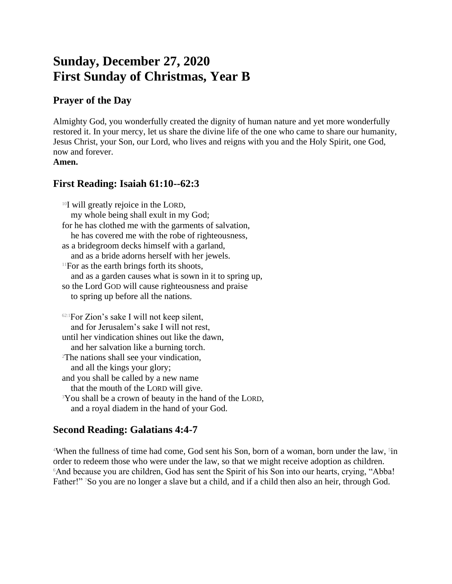# **Sunday, December 27, 2020 First Sunday of Christmas, Year B**

#### **Prayer of the Day**

Almighty God, you wonderfully created the dignity of human nature and yet more wonderfully restored it. In your mercy, let us share the divine life of the one who came to share our humanity, Jesus Christ, your Son, our Lord, who lives and reigns with you and the Holy Spirit, one God, now and forever. **Amen.**

## **First Reading: Isaiah 61:10--62:3**

<sup>10</sup>I will greatly rejoice in the LORD, my whole being shall exult in my God; for he has clothed me with the garments of salvation, he has covered me with the robe of righteousness, as a bridegroom decks himself with a garland, and as a bride adorns herself with her jewels.  $11$ For as the earth brings forth its shoots, and as a garden causes what is sown in it to spring up, so the Lord GOD will cause righteousness and praise to spring up before all the nations.

 $62:1$  For Zion's sake I will not keep silent, and for Jerusalem's sake I will not rest, until her vindication shines out like the dawn, and her salvation like a burning torch. <sup>2</sup>The nations shall see your vindication, and all the kings your glory; and you shall be called by a new name that the mouth of the LORD will give. <sup>3</sup>You shall be a crown of beauty in the hand of the LORD, and a royal diadem in the hand of your God.

## **Second Reading: Galatians 4:4-7**

<sup>4</sup>When the fullness of time had come, God sent his Son, born of a woman, born under the law, <sup>5</sup>in order to redeem those who were under the law, so that we might receive adoption as children. <sup>6</sup>And because you are children, God has sent the Spirit of his Son into our hearts, crying, "Abba! Father!" <sup>7</sup>So you are no longer a slave but a child, and if a child then also an heir, through God.